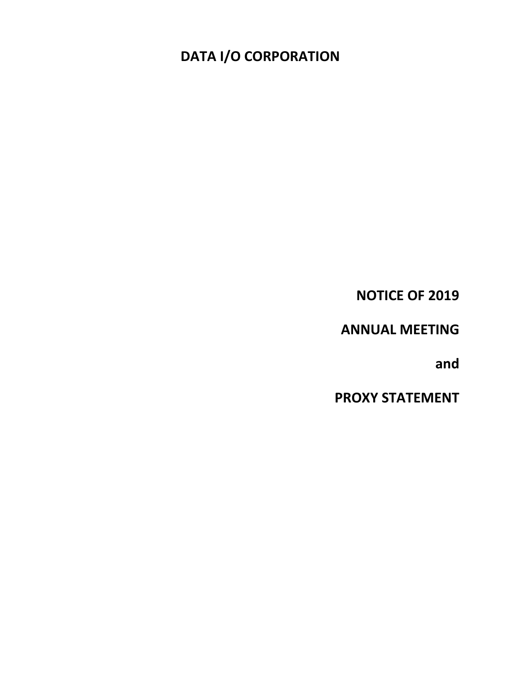**NOTICE OF 2019**

**ANNUAL MEETING**

**and**

**PROXY STATEMENT**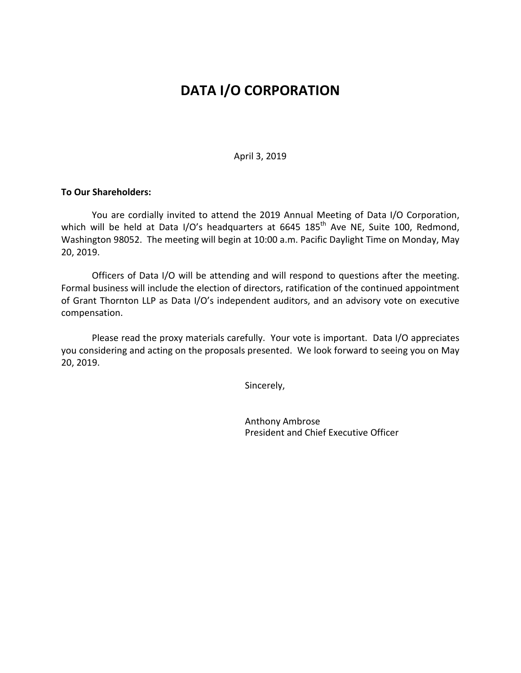April 3, 2019

# **To Our Shareholders:**

You are cordially invited to attend the 2019 Annual Meeting of Data I/O Corporation, which will be held at Data I/O's headquarters at 6645 185<sup>th</sup> Ave NE, Suite 100, Redmond, Washington 98052. The meeting will begin at 10:00 a.m. Pacific Daylight Time on Monday, May 20, 2019.

Officers of Data I/O will be attending and will respond to questions after the meeting. Formal business will include the election of directors, ratification of the continued appointment of Grant Thornton LLP as Data I/O's independent auditors, and an advisory vote on executive compensation.

Please read the proxy materials carefully. Your vote is important. Data I/O appreciates you considering and acting on the proposals presented. We look forward to seeing you on May 20, 2019.

Sincerely,

Anthony Ambrose President and Chief Executive Officer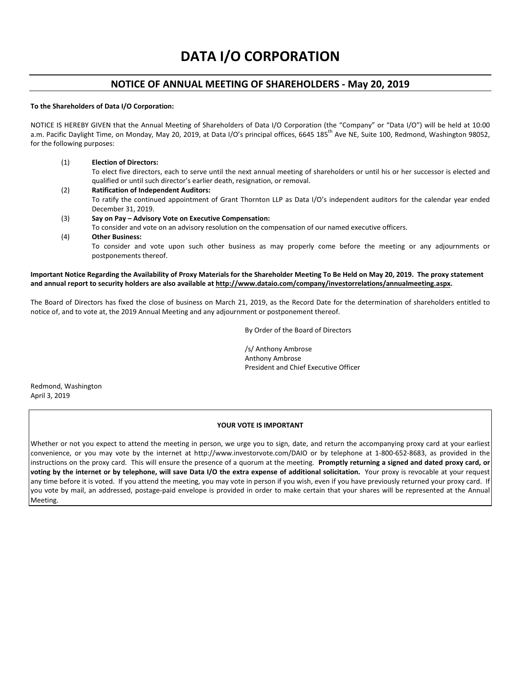# **NOTICE OF ANNUAL MEETING OF SHAREHOLDERS - May 20, 2019**

#### **To the Shareholders of Data I/O Corporation:**

NOTICE IS HEREBY GIVEN that the Annual Meeting of Shareholders of Data I/O Corporation (the "Company" or "Data I/O") will be held at 10:00 a.m. Pacific Daylight Time, on Monday, May 20, 2019, at Data I/O's principal offices, 6645 185<sup>th</sup> Ave NE, Suite 100, Redmond, Washington 98052, for the following purposes:

(1) **Election of Directors:**

postponements thereof.

To elect five directors, each to serve until the next annual meeting of shareholders or until his or her successor is elected and qualified or until such director's earlier death, resignation, or removal.

- (2) **Ratification of Independent Auditors:** To ratify the continued appointment of Grant Thornton LLP as Data I/O's independent auditors for the calendar year ended December 31, 2019.
- (3) **Say on Pay – Advisory Vote on Executive Compensation:**  To consider and vote on an advisory resolution on the compensation of our named executive officers.
- (4) **Other Business:** To consider and vote upon such other business as may properly come before the meeting or any adjournments or

## **Important Notice Regarding the Availability of Proxy Materials for the Shareholder Meeting To Be Held on May 20, 2019. The proxy statement and annual report to security holders are also available a[t http://www.dataio.com/company/in](http://www.dataio.com/company/)vestorrelations/annualmeeting.aspx.**

The Board of Directors has fixed the close of business on March 21, 2019, as the Record Date for the determination of shareholders entitled to notice of, and to vote at, the 2019 Annual Meeting and any adjournment or postponement thereof.

By Order of the Board of Directors

/s/ Anthony Ambrose Anthony Ambrose President and Chief Executive Officer

Redmond, Washington April 3, 2019

#### **YOUR VOTE IS IMPORTANT**

Whether or not you expect to attend the meeting in person, we urge you to sign, date, and return the accompanying proxy card at your earliest convenience, or you may vote by the internet at http://www.investorvote.com/DAIO or by telephone at 1-800-652-8683, as provided in the instructions on the proxy card. This will ensure the presence of a quorum at the meeting. **Promptly returning a signed and dated proxy card, or voting by the internet or by telephone, will save Data I/O the extra expense of additional solicitation.** Your proxy is revocable at your request any time before it is voted. If you attend the meeting, you may vote in person if you wish, even if you have previously returned your proxy card. If you vote by mail, an addressed, postage-paid envelope is provided in order to make certain that your shares will be represented at the Annual Meeting.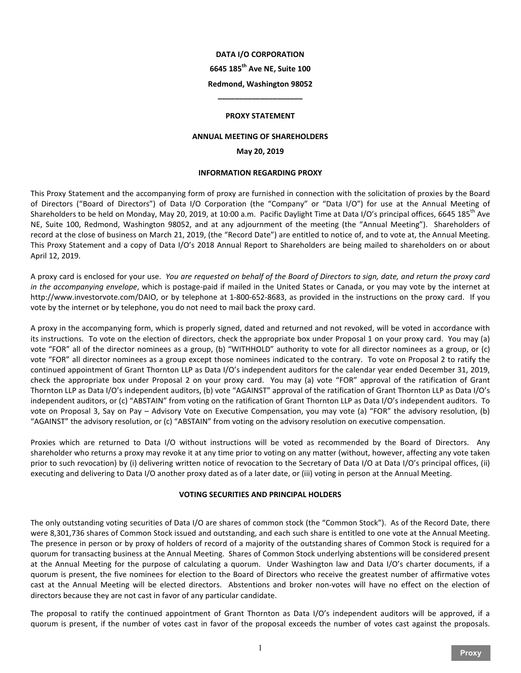# **6645 185th Ave NE, Suite 100**

# **Redmond, Washington 98052 \_\_\_\_\_\_\_\_\_\_\_\_\_\_\_\_\_\_\_\_**

#### **PROXY STATEMENT**

#### **ANNUAL MEETING OF SHAREHOLDERS**

#### **May 20, 2019**

#### **INFORMATION REGARDING PROXY**

This Proxy Statement and the accompanying form of proxy are furnished in connection with the solicitation of proxies by the Board of Directors ("Board of Directors") of Data I/O Corporation (the "Company" or "Data I/O") for use at the Annual Meeting of Shareholders to be held on Monday, May 20, 2019, at 10:00 a.m. Pacific Daylight Time at Data I/O's principal offices, 6645 185<sup>th</sup> Ave NE, Suite 100, Redmond, Washington 98052, and at any adjournment of the meeting (the "Annual Meeting"). Shareholders of record at the close of business on March 21, 2019, (the "Record Date") are entitled to notice of, and to vote at, the Annual Meeting. This Proxy Statement and a copy of Data I/O's 2018 Annual Report to Shareholders are being mailed to shareholders on or about April 12, 2019.

A proxy card is enclosed for your use. *You are requested on behalf of the Board of Directors to sign, date, and return the proxy card in the accompanying envelope*, which is postage-paid if mailed in the United States or Canada, or you may vote by the internet at http://www.investorvote.com/DAIO, or by telephone at 1-800-652-8683, as provided in the instructions on the proxy card. If you vote by the internet or by telephone, you do not need to mail back the proxy card.

A proxy in the accompanying form, which is properly signed, dated and returned and not revoked, will be voted in accordance with its instructions. To vote on the election of directors, check the appropriate box under Proposal 1 on your proxy card. You may (a) vote "FOR" all of the director nominees as a group, (b) "WITHHOLD" authority to vote for all director nominees as a group, or (c) vote "FOR" all director nominees as a group except those nominees indicated to the contrary. To vote on Proposal 2 to ratify the continued appointment of Grant Thornton LLP as Data I/O's independent auditors for the calendar year ended December 31, 2019, check the appropriate box under Proposal 2 on your proxy card. You may (a) vote "FOR" approval of the ratification of Grant Thornton LLP as Data I/O's independent auditors, (b) vote "AGAINST" approval of the ratification of Grant Thornton LLP as Data I/O's independent auditors, or (c) "ABSTAIN" from voting on the ratification of Grant Thornton LLP as Data I/O's independent auditors. To vote on Proposal 3, Say on Pay – Advisory Vote on Executive Compensation, you may vote (a) "FOR" the advisory resolution, (b) "AGAINST" the advisory resolution, or (c) "ABSTAIN" from voting on the advisory resolution on executive compensation.

Proxies which are returned to Data I/O without instructions will be voted as recommended by the Board of Directors. Any shareholder who returns a proxy may revoke it at any time prior to voting on any matter (without, however, affecting any vote taken prior to such revocation) by (i) delivering written notice of revocation to the Secretary of Data I/O at Data I/O's principal offices, (ii) executing and delivering to Data I/O another proxy dated as of a later date, or (iii) voting in person at the Annual Meeting.

#### **VOTING SECURITIES AND PRINCIPAL HOLDERS**

The only outstanding voting securities of Data I/O are shares of common stock (the "Common Stock"). As of the Record Date, there were 8,301,736 shares of Common Stock issued and outstanding, and each such share is entitled to one vote at the Annual Meeting. The presence in person or by proxy of holders of record of a majority of the outstanding shares of Common Stock is required for a quorum for transacting business at the Annual Meeting. Shares of Common Stock underlying abstentions will be considered present at the Annual Meeting for the purpose of calculating a quorum. Under Washington law and Data I/O's charter documents, if a quorum is present, the five nominees for election to the Board of Directors who receive the greatest number of affirmative votes cast at the Annual Meeting will be elected directors. Abstentions and broker non-votes will have no effect on the election of directors because they are not cast in favor of any particular candidate.

The proposal to ratify the continued appointment of Grant Thornton as Data I/O's independent auditors will be approved, if a quorum is present, if the number of votes cast in favor of the proposal exceeds the number of votes cast against the proposals.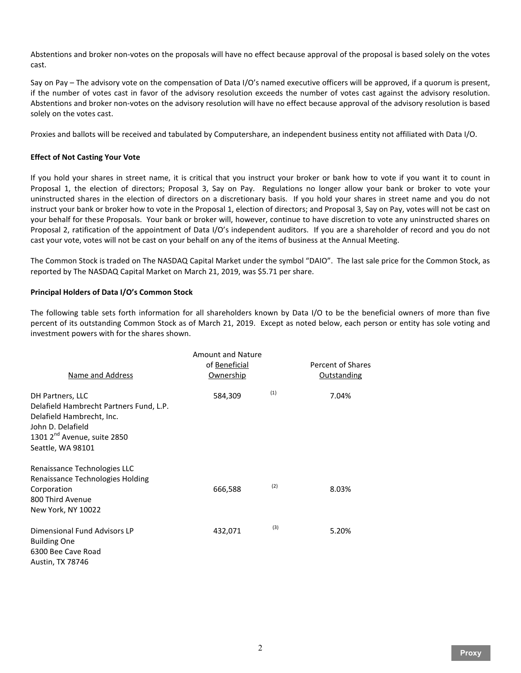Abstentions and broker non-votes on the proposals will have no effect because approval of the proposal is based solely on the votes cast.

Say on Pay – The advisory vote on the compensation of Data I/O's named executive officers will be approved, if a quorum is present, if the number of votes cast in favor of the advisory resolution exceeds the number of votes cast against the advisory resolution. Abstentions and broker non-votes on the advisory resolution will have no effect because approval of the advisory resolution is based solely on the votes cast.

Proxies and ballots will be received and tabulated by Computershare, an independent business entity not affiliated with Data I/O.

# **Effect of Not Casting Your Vote**

If you hold your shares in street name, it is critical that you instruct your broker or bank how to vote if you want it to count in Proposal 1, the election of directors; Proposal 3, Say on Pay. Regulations no longer allow your bank or broker to vote your uninstructed shares in the election of directors on a discretionary basis. If you hold your shares in street name and you do not instruct your bank or broker how to vote in the Proposal 1, election of directors; and Proposal 3, Say on Pay, votes will not be cast on your behalf for these Proposals. Your bank or broker will, however, continue to have discretion to vote any uninstructed shares on Proposal 2, ratification of the appointment of Data I/O's independent auditors. If you are a shareholder of record and you do not cast your vote, votes will not be cast on your behalf on any of the items of business at the Annual Meeting.

The Common Stock is traded on The NASDAQ Capital Market under the symbol "DAIO". The last sale price for the Common Stock, as reported by The NASDAQ Capital Market on March 21, 2019, was \$5.71 per share.

# **Principal Holders of Data I/O's Common Stock**

The following table sets forth information for all shareholders known by Data I/O to be the beneficial owners of more than five percent of its outstanding Common Stock as of March 21, 2019. Except as noted below, each person or entity has sole voting and investment powers with for the shares shown.

| Name and Address                                                                                                                                                              | <b>Amount and Nature</b><br>of Beneficial<br>Ownership |     | Percent of Shares<br>Outstanding |
|-------------------------------------------------------------------------------------------------------------------------------------------------------------------------------|--------------------------------------------------------|-----|----------------------------------|
| DH Partners, LLC<br>Delafield Hambrecht Partners Fund, L.P.<br>Delafield Hambrecht, Inc.<br>John D. Delafield<br>1301 2 <sup>nd</sup> Avenue, suite 2850<br>Seattle, WA 98101 | 584,309                                                | (1) | 7.04%                            |
| Renaissance Technologies LLC<br>Renaissance Technologies Holding<br>Corporation<br>800 Third Avenue<br>New York, NY 10022                                                     | 666,588                                                | (2) | 8.03%                            |
| Dimensional Fund Advisors LP<br><b>Building One</b><br>6300 Bee Cave Road<br>Austin, TX 78746                                                                                 | 432,071                                                | (3) | 5.20%                            |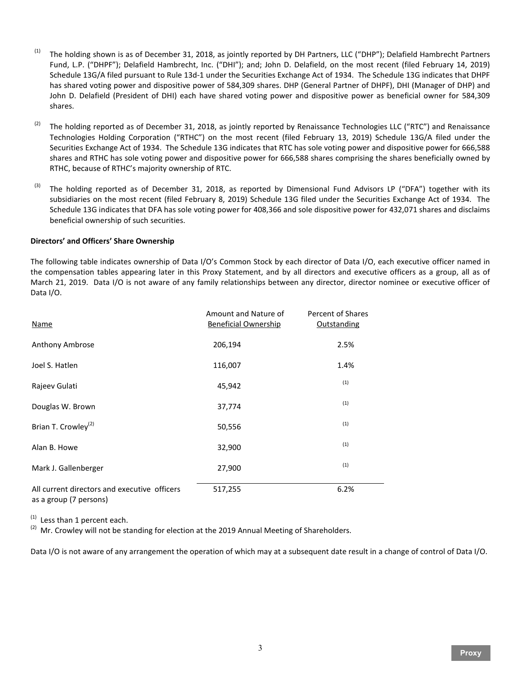- (1) The holding shown is as of December 31, 2018, as jointly reported by DH Partners, LLC ("DHP"); Delafield Hambrecht Partners Fund, L.P. ("DHPF"); Delafield Hambrecht, Inc. ("DHI"); and; John D. Delafield, on the most recent (filed February 14, 2019) Schedule 13G/A filed pursuant to Rule 13d-1 under the Securities Exchange Act of 1934. The Schedule 13G indicates that DHPF has shared voting power and dispositive power of 584,309 shares. DHP (General Partner of DHPF), DHI (Manager of DHP) and John D. Delafield (President of DHI) each have shared voting power and dispositive power as beneficial owner for 584,309 shares.
- (2) The holding reported as of December 31, 2018, as jointly reported by Renaissance Technologies LLC ("RTC") and Renaissance Technologies Holding Corporation ("RTHC") on the most recent (filed February 13, 2019) Schedule 13G/A filed under the Securities Exchange Act of 1934. The Schedule 13G indicates that RTC has sole voting power and dispositive power for 666,588 shares and RTHC has sole voting power and dispositive power for 666,588 shares comprising the shares beneficially owned by RTHC, because of RTHC's majority ownership of RTC.
- (3) The holding reported as of December 31, 2018, as reported by Dimensional Fund Advisors LP ("DFA") together with its subsidiaries on the most recent (filed February 8, 2019) Schedule 13G filed under the Securities Exchange Act of 1934. The Schedule 13G indicates that DFA has sole voting power for 408,366 and sole dispositive power for 432,071 shares and disclaims beneficial ownership of such securities.

# **Directors' and Officers' Share Ownership**

The following table indicates ownership of Data I/O's Common Stock by each director of Data I/O, each executive officer named in the compensation tables appearing later in this Proxy Statement, and by all directors and executive officers as a group, all as of March 21, 2019. Data I/O is not aware of any family relationships between any director, director nominee or executive officer of Data I/O.

| <b>Name</b>                                                            | Amount and Nature of<br><b>Beneficial Ownership</b> | Percent of Shares<br>Outstanding |
|------------------------------------------------------------------------|-----------------------------------------------------|----------------------------------|
| Anthony Ambrose                                                        | 206,194                                             | 2.5%                             |
| Joel S. Hatlen                                                         | 116,007                                             | 1.4%                             |
| Rajeev Gulati                                                          | 45,942                                              | (1)                              |
| Douglas W. Brown                                                       | 37,774                                              | (1)                              |
| Brian T. Crowley <sup>(2)</sup>                                        | 50,556                                              | (1)                              |
| Alan B. Howe                                                           | 32,900                                              | (1)                              |
| Mark J. Gallenberger                                                   | 27,900                                              | (1)                              |
| All current directors and executive officers<br>as a group (7 persons) | 517,255                                             | 6.2%                             |

 $<sup>(1)</sup>$  Less than 1 percent each.</sup>

 $(2)$  Mr. Crowley will not be standing for election at the 2019 Annual Meeting of Shareholders.

Data I/O is not aware of any arrangement the operation of which may at a subsequent date result in a change of control of Data I/O.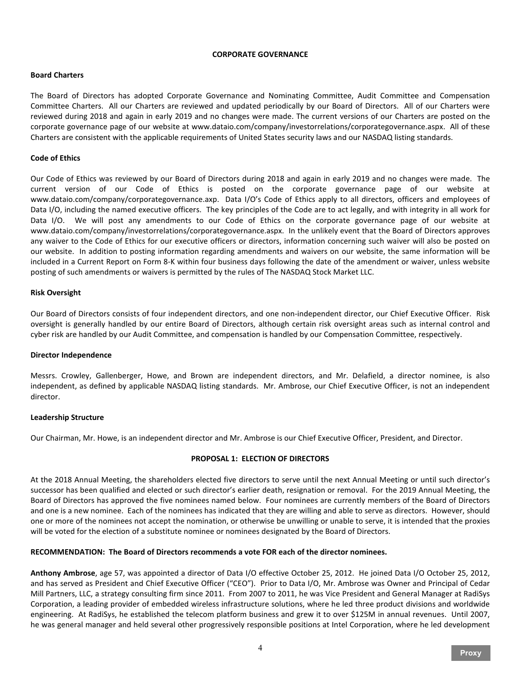#### **CORPORATE GOVERNANCE**

# **Board Charters**

The Board of Directors has adopted Corporate Governance and Nominating Committee, Audit Committee and Compensation Committee Charters. All our Charters are reviewed and updated periodically by our Board of Directors. All of our Charters were reviewed during 2018 and again in early 2019 and no changes were made. The current versions of our Charters are posted on the corporate governance page of our website at www.dataio.com/company/investorrelations/corporategovernance.aspx. All of these Charters are consistent with the applicable requirements of United States security laws and our NASDAQ listing standards.

#### **Code of Ethics**

Our Code of Ethics was reviewed by our Board of Directors during 2018 and again in early 2019 and no changes were made. The current version of our Code of Ethics is posted on the corporate governance page of our website at www.dataio.com/company/corporategovernance.axp. Data I/O's Code of Ethics apply to all directors, officers and employees of Data I/O, including the named executive officers. The key principles of the Code are to act legally, and with integrity in all work for Data I/O. We will post any amendments to our Code of Ethics on the corporate governance page of our website at www.dataio.com/company/investorrelations/corporategovernance.aspx. In the unlikely event that the Board of Directors approves any waiver to the Code of Ethics for our executive officers or directors, information concerning such waiver will also be posted on our website. In addition to posting information regarding amendments and waivers on our website, the same information will be included in a Current Report on Form 8-K within four business days following the date of the amendment or waiver, unless website posting of such amendments or waivers is permitted by the rules of The NASDAQ Stock Market LLC.

# **Risk Oversight**

Our Board of Directors consists of four independent directors, and one non-independent director, our Chief Executive Officer. Risk oversight is generally handled by our entire Board of Directors, although certain risk oversight areas such as internal control and cyber risk are handled by our Audit Committee, and compensation is handled by our Compensation Committee, respectively.

#### **Director Independence**

Messrs. Crowley, Gallenberger, Howe, and Brown are independent directors, and Mr. Delafield, a director nominee, is also independent, as defined by applicable NASDAQ listing standards. Mr. Ambrose, our Chief Executive Officer, is not an independent director.

#### **Leadership Structure**

Our Chairman, Mr. Howe, is an independent director and Mr. Ambrose is our Chief Executive Officer, President, and Director.

# **PROPOSAL 1: ELECTION OF DIRECTORS**

At the 2018 Annual Meeting, the shareholders elected five directors to serve until the next Annual Meeting or until such director's successor has been qualified and elected or such director's earlier death, resignation or removal. For the 2019 Annual Meeting, the Board of Directors has approved the five nominees named below. Four nominees are currently members of the Board of Directors and one is a new nominee. Each of the nominees has indicated that they are willing and able to serve as directors. However, should one or more of the nominees not accept the nomination, or otherwise be unwilling or unable to serve, it is intended that the proxies will be voted for the election of a substitute nominee or nominees designated by the Board of Directors.

#### **RECOMMENDATION: The Board of Directors recommends a vote FOR each of the director nominees.**

**Anthony Ambrose**, age 57, was appointed a director of Data I/O effective October 25, 2012. He joined Data I/O October 25, 2012, and has served as President and Chief Executive Officer ("CEO"). Prior to Data I/O, Mr. Ambrose was Owner and Principal of Cedar Mill Partners, LLC, a strategy consulting firm since 2011. From 2007 to 2011, he was Vice President and General Manager at RadiSys Corporation, a leading provider of embedded wireless infrastructure solutions, where he led three product divisions and worldwide engineering. At RadiSys, he established the telecom platform business and grew it to over \$125M in annual revenues. Until 2007, he was general manager and held several other progressively responsible positions at Intel Corporation, where he led development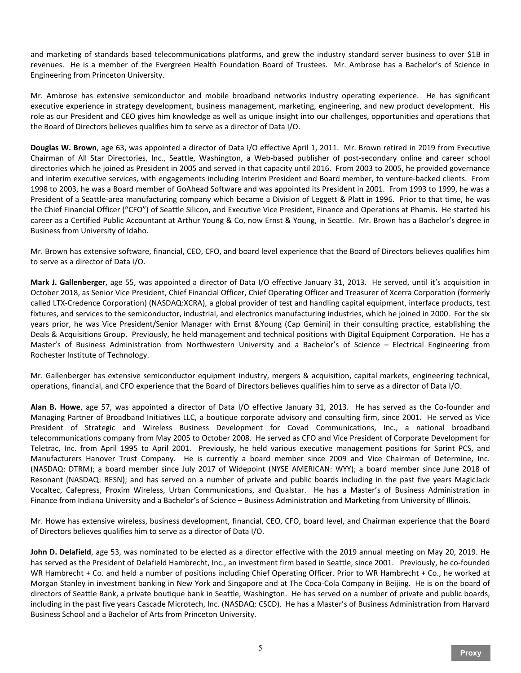and marketing of standards based telecommunications platforms, and grew the industry standard server business to over \$1B in revenues. He is a member of the Evergreen Health Foundation Board of Trustees. Mr. Ambrose has a Bachelor's of Science in Engineering from Princeton University.

Mr. Ambrose has extensive semiconductor and mobile broadband networks industry operating experience. He has significant executive experience in strategy development, business management, marketing, engineering, and new product development. His role as our President and CEO gives him knowledge as well as unique insight into our challenges, opportunities and operations that the Board of Directors believes qualifies him to serve as a director of Data I/O.

**Douglas W. Brown**, age 63, was appointed a director of Data I/O effective April 1, 2011. Mr. Brown retired in 2019 from Executive Chairman of All Star Directories, Inc., Seattle, Washington, a Web-based publisher of post-secondary online and career school directories which he joined as President in 2005 and served in that capacity until 2016. From 2003 to 2005, he provided governance and interim executive services, with engagements including Interim President and Board member, to venture-backed clients. From 1998 to 2003, he was a Board member of GoAhead Software and was appointed its President in 2001. From 1993 to 1999, he was a President of a Seattle-area manufacturing company which became a Division of Leggett & Platt in 1996. Prior to that time, he was the Chief Financial Officer ("CFO") of Seattle Silicon, and Executive Vice President, Finance and Operations at Phamis. He started his career as a Certified Public Accountant at Arthur Young & Co, now Ernst & Young, in Seattle. Mr. Brown has a Bachelor's degree in Business from University of Idaho.

Mr. Brown has extensive software, financial, CEO, CFO, and board level experience that the Board of Directors believes qualifies him to serve as a director of Data I/O.

**Mark J. Gallenberger**, age 55, was appointed a director of Data I/O effective January 31, 2013. He served, until it's acquisition in October 2018, as Senior Vice President, Chief Financial Officer, Chief Operating Officer and Treasurer of Xcerra Corporation (formerly called LTX-Credence Corporation) (NASDAQ:XCRA), a global provider of test and handling capital equipment, interface products, test fixtures, and services to the semiconductor, industrial, and electronics manufacturing industries, which he joined in 2000. For the six years prior, he was Vice President/Senior Manager with Ernst &Young (Cap Gemini) in their consulting practice, establishing the Deals & Acquisitions Group. Previously, he held management and technical positions with Digital Equipment Corporation. He has a Master's of Business Administration from Northwestern University and a Bachelor's of Science – Electrical Engineering from Rochester Institute of Technology.

Mr. Gallenberger has extensive semiconductor equipment industry, mergers & acquisition, capital markets, engineering technical, operations, financial, and CFO experience that the Board of Directors believes qualifies him to serve as a director of Data I/O.

**Alan B. Howe**, age 57, was appointed a director of Data I/O effective January 31, 2013. He has served as the Co-founder and Managing Partner of Broadband Initiatives LLC, a boutique corporate advisory and consulting firm, since 2001. He served as Vice President of Strategic and Wireless Business Development for Covad Communications, Inc., a national broadband telecommunications company from May 2005 to October 2008. He served as CFO and Vice President of Corporate Development for Teletrac, Inc. from April 1995 to April 2001. Previously, he held various executive management positions for Sprint PCS, and Manufacturers Hanover Trust Company. He is currently a board member since 2009 and Vice Chairman of Determine, Inc. (NASDAQ: DTRM); a board member since July 2017 of Widepoint (NYSE AMERICAN: WYY); a board member since June 2018 of Resonant (NASDAQ: RESN); and has served on a number of private and public boards including in the past five years MagicJack Vocaltec, Cafepress, Proxim Wireless, Urban Communications, and Qualstar. He has a Master's of Business Administration in Finance from Indiana University and a Bachelor's of Science – Business Administration and Marketing from University of Illinois.

Mr. Howe has extensive wireless, business development, financial, CEO, CFO, board level, and Chairman experience that the Board of Directors believes qualifies him to serve as a director of Data I/O.

**John D. Delafield**, age 53, was nominated to be elected as a director effective with the 2019 annual meeting on May 20, 2019. He has served as the President of Delafield Hambrecht, Inc., an investment firm based in Seattle, since 2001. Previously, he co-founded WR Hambrecht + Co. and held a number of positions including Chief Operating Officer. Prior to WR Hambrecht + Co., he worked at Morgan Stanley in investment banking in New York and Singapore and at The Coca-Cola Company in Beijing. He is on the board of directors of Seattle Bank, a private boutique bank in Seattle, Washington. He has served on a number of private and public boards, including in the past five years Cascade Microtech, Inc. (NASDAQ: CSCD). He has a Master's of Business Administration from Harvard Business School and a Bachelor of Arts from Princeton University.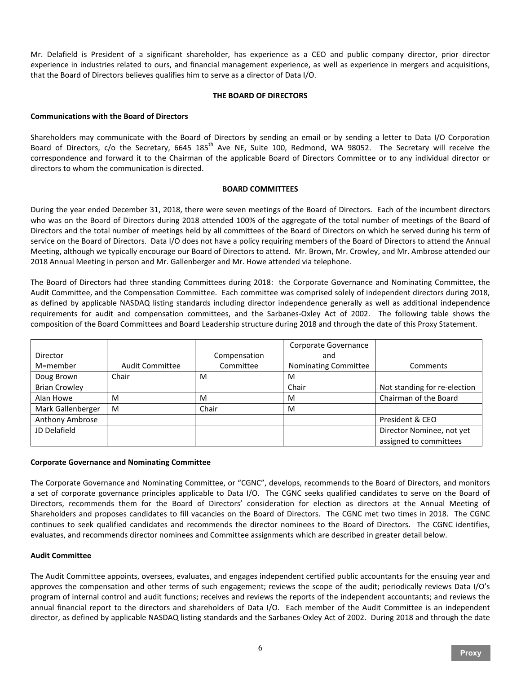Mr. Delafield is President of a significant shareholder, has experience as a CEO and public company director, prior director experience in industries related to ours, and financial management experience, as well as experience in mergers and acquisitions, that the Board of Directors believes qualifies him to serve as a director of Data I/O.

# **THE BOARD OF DIRECTORS**

# **Communications with the Board of Directors**

Shareholders may communicate with the Board of Directors by sending an email or by sending a letter to Data I/O Corporation Board of Directors, c/o the Secretary, 6645 185<sup>th</sup> Ave NE, Suite 100, Redmond, WA 98052. The Secretary will receive the correspondence and forward it to the Chairman of the applicable Board of Directors Committee or to any individual director or directors to whom the communication is directed.

# **BOARD COMMITTEES**

During the year ended December 31, 2018, there were seven meetings of the Board of Directors. Each of the incumbent directors who was on the Board of Directors during 2018 attended 100% of the aggregate of the total number of meetings of the Board of Directors and the total number of meetings held by all committees of the Board of Directors on which he served during his term of service on the Board of Directors. Data I/O does not have a policy requiring members of the Board of Directors to attend the Annual Meeting, although we typically encourage our Board of Directors to attend. Mr. Brown, Mr. Crowley, and Mr. Ambrose attended our 2018 Annual Meeting in person and Mr. Gallenberger and Mr. Howe attended via telephone.

The Board of Directors had three standing Committees during 2018: the Corporate Governance and Nominating Committee, the Audit Committee, and the Compensation Committee. Each committee was comprised solely of independent directors during 2018, as defined by applicable NASDAQ listing standards including director independence generally as well as additional independence requirements for audit and compensation committees, and the Sarbanes-Oxley Act of 2002. The following table shows the composition of the Board Committees and Board Leadership structure during 2018 and through the date of this Proxy Statement.

|                      |                        |              | Corporate Governance |                              |
|----------------------|------------------------|--------------|----------------------|------------------------------|
| Director             |                        | Compensation | and                  |                              |
| M=member             | <b>Audit Committee</b> | Committee    | Nominating Committee | Comments                     |
| Doug Brown           | Chair                  | M            | M                    |                              |
| <b>Brian Crowley</b> |                        |              | Chair                | Not standing for re-election |
| Alan Howe            | M                      | M            | м                    | Chairman of the Board        |
| Mark Gallenberger    | M                      | Chair        | м                    |                              |
| Anthony Ambrose      |                        |              |                      | President & CEO              |
| JD Delafield         |                        |              |                      | Director Nominee, not yet    |
|                      |                        |              |                      | assigned to committees       |

#### **Corporate Governance and Nominating Committee**

The Corporate Governance and Nominating Committee, or "CGNC", develops, recommends to the Board of Directors, and monitors a set of corporate governance principles applicable to Data I/O. The CGNC seeks qualified candidates to serve on the Board of Directors, recommends them for the Board of Directors' consideration for election as directors at the Annual Meeting of Shareholders and proposes candidates to fill vacancies on the Board of Directors. The CGNC met two times in 2018. The CGNC continues to seek qualified candidates and recommends the director nominees to the Board of Directors. The CGNC identifies, evaluates, and recommends director nominees and Committee assignments which are described in greater detail below.

#### **Audit Committee**

The Audit Committee appoints, oversees, evaluates, and engages independent certified public accountants for the ensuing year and approves the compensation and other terms of such engagement; reviews the scope of the audit; periodically reviews Data I/O's program of internal control and audit functions; receives and reviews the reports of the independent accountants; and reviews the annual financial report to the directors and shareholders of Data I/O. Each member of the Audit Committee is an independent director, as defined by applicable NASDAQ listing standards and the Sarbanes-Oxley Act of 2002. During 2018 and through the date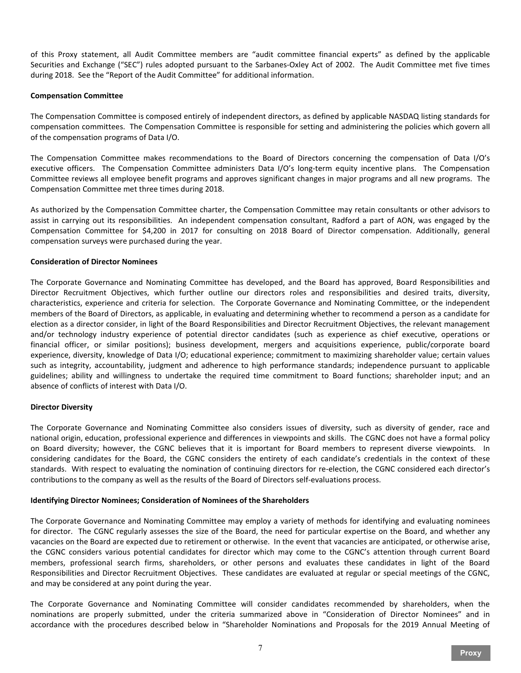of this Proxy statement, all Audit Committee members are "audit committee financial experts" as defined by the applicable Securities and Exchange ("SEC") rules adopted pursuant to the Sarbanes-Oxley Act of 2002. The Audit Committee met five times during 2018. See the "Report of the Audit Committee" for additional information.

# **Compensation Committee**

The Compensation Committee is composed entirely of independent directors, as defined by applicable NASDAQ listing standards for compensation committees. The Compensation Committee is responsible for setting and administering the policies which govern all of the compensation programs of Data I/O.

The Compensation Committee makes recommendations to the Board of Directors concerning the compensation of Data I/O's executive officers. The Compensation Committee administers Data I/O's long-term equity incentive plans. The Compensation Committee reviews all employee benefit programs and approves significant changes in major programs and all new programs. The Compensation Committee met three times during 2018.

As authorized by the Compensation Committee charter, the Compensation Committee may retain consultants or other advisors to assist in carrying out its responsibilities. An independent compensation consultant, Radford a part of AON, was engaged by the Compensation Committee for \$4,200 in 2017 for consulting on 2018 Board of Director compensation. Additionally, general compensation surveys were purchased during the year.

# **Consideration of Director Nominees**

The Corporate Governance and Nominating Committee has developed, and the Board has approved, Board Responsibilities and Director Recruitment Objectives, which further outline our directors roles and responsibilities and desired traits, diversity, characteristics, experience and criteria for selection. The Corporate Governance and Nominating Committee, or the independent members of the Board of Directors, as applicable, in evaluating and determining whether to recommend a person as a candidate for election as a director consider, in light of the Board Responsibilities and Director Recruitment Objectives, the relevant management and/or technology industry experience of potential director candidates (such as experience as chief executive, operations or financial officer, or similar positions); business development, mergers and acquisitions experience, public/corporate board experience, diversity, knowledge of Data I/O; educational experience; commitment to maximizing shareholder value; certain values such as integrity, accountability, judgment and adherence to high performance standards; independence pursuant to applicable guidelines; ability and willingness to undertake the required time commitment to Board functions; shareholder input; and an absence of conflicts of interest with Data I/O.

#### **Director Diversity**

The Corporate Governance and Nominating Committee also considers issues of diversity, such as diversity of gender, race and national origin, education, professional experience and differences in viewpoints and skills. The CGNC does not have a formal policy on Board diversity; however, the CGNC believes that it is important for Board members to represent diverse viewpoints. In considering candidates for the Board, the CGNC considers the entirety of each candidate's credentials in the context of these standards. With respect to evaluating the nomination of continuing directors for re-election, the CGNC considered each director's contributions to the company as well as the results of the Board of Directors self-evaluations process.

# **Identifying Director Nominees; Consideration of Nominees of the Shareholders**

The Corporate Governance and Nominating Committee may employ a variety of methods for identifying and evaluating nominees for director. The CGNC regularly assesses the size of the Board, the need for particular expertise on the Board, and whether any vacancies on the Board are expected due to retirement or otherwise. In the event that vacancies are anticipated, or otherwise arise, the CGNC considers various potential candidates for director which may come to the CGNC's attention through current Board members, professional search firms, shareholders, or other persons and evaluates these candidates in light of the Board Responsibilities and Director Recruitment Objectives. These candidates are evaluated at regular or special meetings of the CGNC, and may be considered at any point during the year.

The Corporate Governance and Nominating Committee will consider candidates recommended by shareholders, when the nominations are properly submitted, under the criteria summarized above in "Consideration of Director Nominees" and in accordance with the procedures described below in "Shareholder Nominations and Proposals for the 2019 Annual Meeting of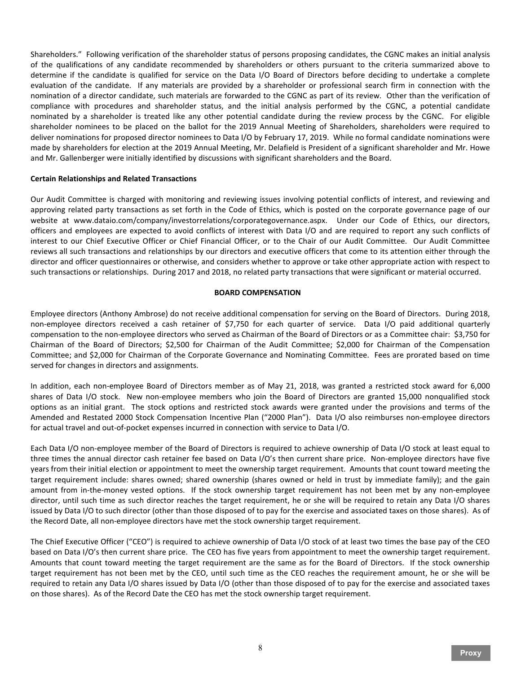Shareholders." Following verification of the shareholder status of persons proposing candidates, the CGNC makes an initial analysis of the qualifications of any candidate recommended by shareholders or others pursuant to the criteria summarized above to determine if the candidate is qualified for service on the Data I/O Board of Directors before deciding to undertake a complete evaluation of the candidate. If any materials are provided by a shareholder or professional search firm in connection with the nomination of a director candidate, such materials are forwarded to the CGNC as part of its review. Other than the verification of compliance with procedures and shareholder status, and the initial analysis performed by the CGNC, a potential candidate nominated by a shareholder is treated like any other potential candidate during the review process by the CGNC. For eligible shareholder nominees to be placed on the ballot for the 2019 Annual Meeting of Shareholders, shareholders were required to deliver nominations for proposed director nominees to Data I/O by February 17, 2019. While no formal candidate nominations were made by shareholders for election at the 2019 Annual Meeting, Mr. Delafield is President of a significant shareholder and Mr. Howe and Mr. Gallenberger were initially identified by discussions with significant shareholders and the Board.

#### **Certain Relationships and Related Transactions**

Our Audit Committee is charged with monitoring and reviewing issues involving potential conflicts of interest, and reviewing and approving related party transactions as set forth in the Code of Ethics, which is posted on the corporate governance page of our website at www.dataio.com/company/investorrelations/corporategovernance.aspx. Under our Code of Ethics, our directors, officers and employees are expected to avoid conflicts of interest with Data I/O and are required to report any such conflicts of interest to our Chief Executive Officer or Chief Financial Officer, or to the Chair of our Audit Committee. Our Audit Committee reviews all such transactions and relationships by our directors and executive officers that come to its attention either through the director and officer questionnaires or otherwise, and considers whether to approve or take other appropriate action with respect to such transactions or relationships. During 2017 and 2018, no related party transactions that were significant or material occurred.

#### **BOARD COMPENSATION**

Employee directors (Anthony Ambrose) do not receive additional compensation for serving on the Board of Directors. During 2018, non-employee directors received a cash retainer of \$7,750 for each quarter of service. Data I/O paid additional quarterly compensation to the non-employee directors who served as Chairman of the Board of Directors or as a Committee chair: \$3,750 for Chairman of the Board of Directors; \$2,500 for Chairman of the Audit Committee; \$2,000 for Chairman of the Compensation Committee; and \$2,000 for Chairman of the Corporate Governance and Nominating Committee. Fees are prorated based on time served for changes in directors and assignments.

In addition, each non-employee Board of Directors member as of May 21, 2018, was granted a restricted stock award for 6,000 shares of Data I/O stock. New non-employee members who join the Board of Directors are granted 15,000 nonqualified stock options as an initial grant. The stock options and restricted stock awards were granted under the provisions and terms of the Amended and Restated 2000 Stock Compensation Incentive Plan ("2000 Plan"). Data I/O also reimburses non-employee directors for actual travel and out-of-pocket expenses incurred in connection with service to Data I/O.

Each Data I/O non-employee member of the Board of Directors is required to achieve ownership of Data I/O stock at least equal to three times the annual director cash retainer fee based on Data I/O's then current share price. Non-employee directors have five years from their initial election or appointment to meet the ownership target requirement. Amounts that count toward meeting the target requirement include: shares owned; shared ownership (shares owned or held in trust by immediate family); and the gain amount from in-the-money vested options. If the stock ownership target requirement has not been met by any non-employee director, until such time as such director reaches the target requirement, he or she will be required to retain any Data I/O shares issued by Data I/O to such director (other than those disposed of to pay for the exercise and associated taxes on those shares). As of the Record Date, all non-employee directors have met the stock ownership target requirement.

The Chief Executive Officer ("CEO") is required to achieve ownership of Data I/O stock of at least two times the base pay of the CEO based on Data I/O's then current share price. The CEO has five years from appointment to meet the ownership target requirement. Amounts that count toward meeting the target requirement are the same as for the Board of Directors. If the stock ownership target requirement has not been met by the CEO, until such time as the CEO reaches the requirement amount, he or she will be required to retain any Data I/O shares issued by Data I/O (other than those disposed of to pay for the exercise and associated taxes on those shares). As of the Record Date the CEO has met the stock ownership target requirement.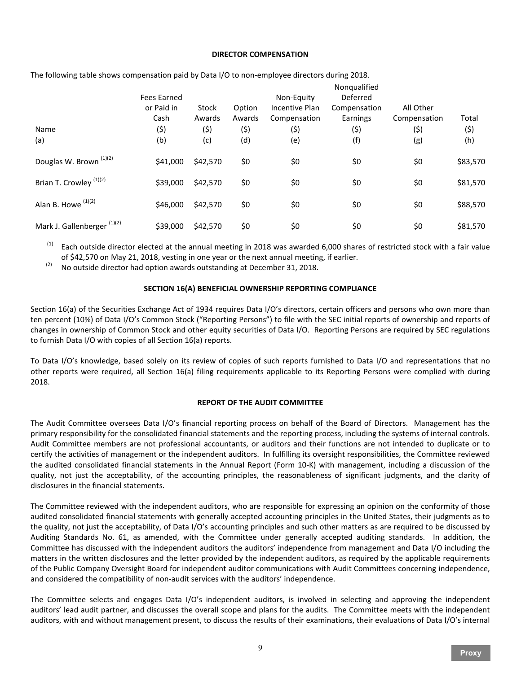#### **DIRECTOR COMPENSATION**

|                                        | <b>Fees Earned</b> |                 |                  | Non-Equity                     | Nonqualified<br>Deferred |                           |          |
|----------------------------------------|--------------------|-----------------|------------------|--------------------------------|--------------------------|---------------------------|----------|
|                                        | or Paid in<br>Cash | Stock<br>Awards | Option<br>Awards | Incentive Plan<br>Compensation | Compensation<br>Earnings | All Other<br>Compensation | Total    |
| Name                                   | (5)                | (\$)            | (5)              | (\$)                           | (\$)                     | (5)                       | (5)      |
| (a)                                    | (b)                | (c)             | (d)              | (e)                            | (f)                      | (g)                       | (h)      |
| Douglas W. Brown <sup>(1)(2)</sup>     | \$41,000           | \$42,570        | \$0              | \$0                            | \$0                      | \$0                       | \$83,570 |
| Brian T. Crowley <sup>(1)(2)</sup>     | \$39,000           | \$42,570        | \$0              | \$0                            | \$0                      | \$0                       | \$81,570 |
| Alan B. Howe (1)(2)                    | \$46,000           | \$42,570        | \$0              | \$0                            | \$0                      | \$0                       | \$88,570 |
| Mark J. Gallenberger <sup>(1)(2)</sup> | \$39,000           | \$42,570        | \$0              | \$0                            | \$0                      | \$0                       | \$81,570 |

The following table shows compensation paid by Data I/O to non-employee directors during 2018.

Each outside director elected at the annual meeting in 2018 was awarded 6,000 shares of restricted stock with a fair value of \$42,570 on May 21, 2018, vesting in one year or the next annual meeting, if earlier.

 $(2)$  No outside director had option awards outstanding at December 31, 2018.

# **SECTION 16(A) BENEFICIAL OWNERSHIP REPORTING COMPLIANCE**

Section 16(a) of the Securities Exchange Act of 1934 requires Data I/O's directors, certain officers and persons who own more than ten percent (10%) of Data I/O's Common Stock ("Reporting Persons") to file with the SEC initial reports of ownership and reports of changes in ownership of Common Stock and other equity securities of Data I/O. Reporting Persons are required by SEC regulations to furnish Data I/O with copies of all Section 16(a) reports.

To Data I/O's knowledge, based solely on its review of copies of such reports furnished to Data I/O and representations that no other reports were required, all Section 16(a) filing requirements applicable to its Reporting Persons were complied with during 2018.

# **REPORT OF THE AUDIT COMMITTEE**

The Audit Committee oversees Data I/O's financial reporting process on behalf of the Board of Directors. Management has the primary responsibility for the consolidated financial statements and the reporting process, including the systems of internal controls. Audit Committee members are not professional accountants, or auditors and their functions are not intended to duplicate or to certify the activities of management or the independent auditors. In fulfilling its oversight responsibilities, the Committee reviewed the audited consolidated financial statements in the Annual Report (Form 10-K) with management, including a discussion of the quality, not just the acceptability, of the accounting principles, the reasonableness of significant judgments, and the clarity of disclosures in the financial statements.

The Committee reviewed with the independent auditors, who are responsible for expressing an opinion on the conformity of those audited consolidated financial statements with generally accepted accounting principles in the United States, their judgments as to the quality, not just the acceptability, of Data I/O's accounting principles and such other matters as are required to be discussed by Auditing Standards No. 61, as amended, with the Committee under generally accepted auditing standards. In addition, the Committee has discussed with the independent auditors the auditors' independence from management and Data I/O including the matters in the written disclosures and the letter provided by the independent auditors, as required by the applicable requirements of the Public Company Oversight Board for independent auditor communications with Audit Committees concerning independence, and considered the compatibility of non-audit services with the auditors' independence.

The Committee selects and engages Data I/O's independent auditors, is involved in selecting and approving the independent auditors' lead audit partner, and discusses the overall scope and plans for the audits. The Committee meets with the independent auditors, with and without management present, to discuss the results of their examinations, their evaluations of Data I/O's internal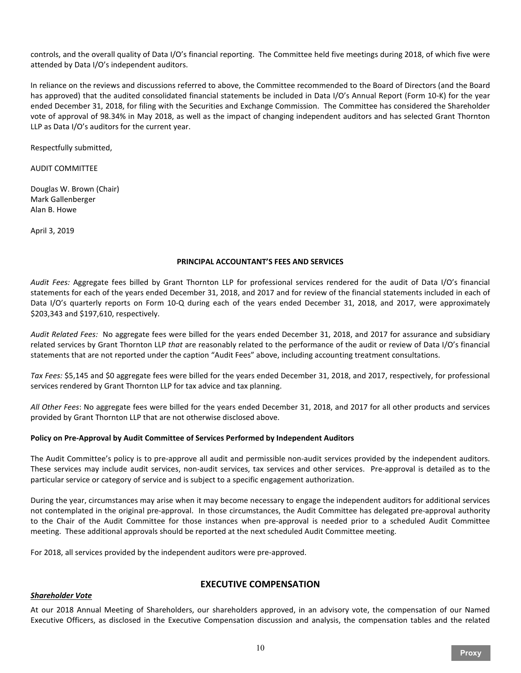controls, and the overall quality of Data I/O's financial reporting. The Committee held five meetings during 2018, of which five were attended by Data I/O's independent auditors.

In reliance on the reviews and discussions referred to above, the Committee recommended to the Board of Directors (and the Board has approved) that the audited consolidated financial statements be included in Data I/O's Annual Report (Form 10-K) for the year ended December 31, 2018, for filing with the Securities and Exchange Commission. The Committee has considered the Shareholder vote of approval of 98.34% in May 2018, as well as the impact of changing independent auditors and has selected Grant Thornton LLP as Data I/O's auditors for the current year.

Respectfully submitted,

AUDIT COMMITTEE

Douglas W. Brown (Chair) Mark Gallenberger Alan B. Howe

April 3, 2019

#### **PRINCIPAL ACCOUNTANT'S FEES AND SERVICES**

*Audit Fees:* Aggregate fees billed by Grant Thornton LLP for professional services rendered for the audit of Data I/O's financial statements for each of the years ended December 31, 2018, and 2017 and for review of the financial statements included in each of Data I/O's quarterly reports on Form 10-Q during each of the years ended December 31, 2018, and 2017, were approximately \$203,343 and \$197,610, respectively.

*Audit Related Fees:* No aggregate fees were billed for the years ended December 31, 2018, and 2017 for assurance and subsidiary related services by Grant Thornton LLP *that* are reasonably related to the performance of the audit or review of Data I/O's financial statements that are not reported under the caption "Audit Fees" above, including accounting treatment consultations.

*Tax Fees:* \$5,145 and \$0 aggregate fees were billed for the years ended December 31, 2018, and 2017, respectively, for professional services rendered by Grant Thornton LLP for tax advice and tax planning.

*All Other Fees*: No aggregate fees were billed for the years ended December 31, 2018, and 2017 for all other products and services provided by Grant Thornton LLP that are not otherwise disclosed above.

# **Policy on Pre-Approval by Audit Committee of Services Performed by Independent Auditors**

The Audit Committee's policy is to pre-approve all audit and permissible non-audit services provided by the independent auditors. These services may include audit services, non-audit services, tax services and other services. Pre-approval is detailed as to the particular service or category of service and is subject to a specific engagement authorization.

During the year, circumstances may arise when it may become necessary to engage the independent auditors for additional services not contemplated in the original pre-approval. In those circumstances, the Audit Committee has delegated pre-approval authority to the Chair of the Audit Committee for those instances when pre-approval is needed prior to a scheduled Audit Committee meeting. These additional approvals should be reported at the next scheduled Audit Committee meeting.

For 2018, all services provided by the independent auditors were pre-approved.

# *Shareholder Vote*

# **EXECUTIVE COMPENSATION**

At our 2018 Annual Meeting of Shareholders, our shareholders approved, in an advisory vote, the compensation of our Named Executive Officers, as disclosed in the Executive Compensation discussion and analysis, the compensation tables and the related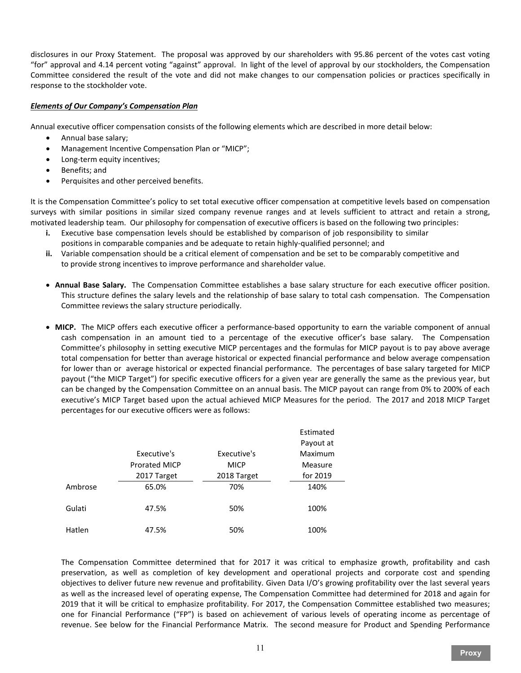disclosures in our Proxy Statement. The proposal was approved by our shareholders with 95.86 percent of the votes cast voting "for" approval and 4.14 percent voting "against" approval. In light of the level of approval by our stockholders, the Compensation Committee considered the result of the vote and did not make changes to our compensation policies or practices specifically in response to the stockholder vote.

# *Elements of Our Company's Compensation Plan*

Annual executive officer compensation consists of the following elements which are described in more detail below:

- Annual base salary;
- Management Incentive Compensation Plan or "MICP";
- Long-term equity incentives;
- Benefits; and
- Perquisites and other perceived benefits.

It is the Compensation Committee's policy to set total executive officer compensation at competitive levels based on compensation surveys with similar positions in similar sized company revenue ranges and at levels sufficient to attract and retain a strong, motivated leadership team. Our philosophy for compensation of executive officers is based on the following two principles:

- **i.** Executive base compensation levels should be established by comparison of job responsibility to similar positions in comparable companies and be adequate to retain highly-qualified personnel; and
- **ii.** Variable compensation should be a critical element of compensation and be set to be comparably competitive and to provide strong incentives to improve performance and shareholder value.
- **Annual Base Salary.** The Compensation Committee establishes a base salary structure for each executive officer position. This structure defines the salary levels and the relationship of base salary to total cash compensation. The Compensation Committee reviews the salary structure periodically.
- **MICP.** The MICP offers each executive officer a performance-based opportunity to earn the variable component of annual cash compensation in an amount tied to a percentage of the executive officer's base salary. The Compensation Committee's philosophy in setting executive MICP percentages and the formulas for MICP payout is to pay above average total compensation for better than average historical or expected financial performance and below average compensation for lower than or average historical or expected financial performance. The percentages of base salary targeted for MICP payout ("the MICP Target") for specific executive officers for a given year are generally the same as the previous year, but can be changed by the Compensation Committee on an annual basis. The MICP payout can range from 0% to 200% of each executive's MICP Target based upon the actual achieved MICP Measures for the period. The 2017 and 2018 MICP Target percentages for our executive officers were as follows:

|         |                      |             | Estimated |
|---------|----------------------|-------------|-----------|
|         |                      |             | Payout at |
|         | Executive's          | Executive's | Maximum   |
|         | <b>Prorated MICP</b> | <b>MICP</b> | Measure   |
|         | 2017 Target          | 2018 Target | for 2019  |
| Ambrose | 65.0%                | 70%         | 140%      |
| Gulati  | 47.5%                | 50%         | 100%      |
| Hatlen  | 47.5%                | 50%         | 100%      |

The Compensation Committee determined that for 2017 it was critical to emphasize growth, profitability and cash preservation, as well as completion of key development and operational projects and corporate cost and spending objectives to deliver future new revenue and profitability. Given Data I/O's growing profitability over the last several years as well as the increased level of operating expense, The Compensation Committee had determined for 2018 and again for 2019 that it will be critical to emphasize profitability. For 2017, the Compensation Committee established two measures; one for Financial Performance ("FP") is based on achievement of various levels of operating income as percentage of revenue. See below for the Financial Performance Matrix. The second measure for Product and Spending Performance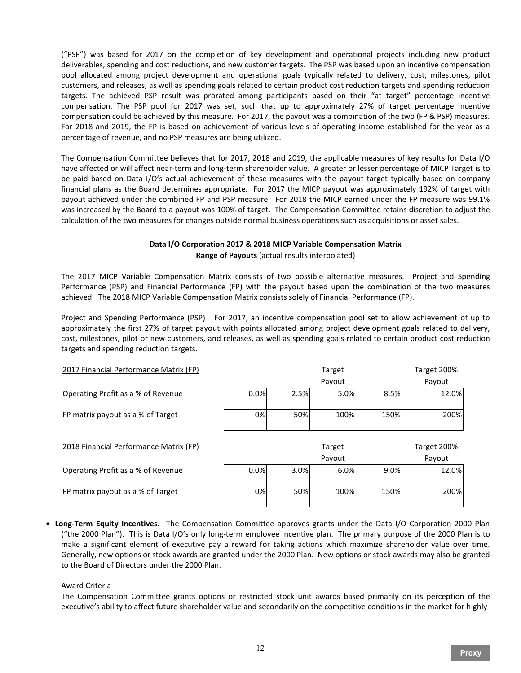("PSP") was based for 2017 on the completion of key development and operational projects including new product deliverables, spending and cost reductions, and new customer targets. The PSP was based upon an incentive compensation pool allocated among project development and operational goals typically related to delivery, cost, milestones, pilot customers, and releases, as well as spending goals related to certain product cost reduction targets and spending reduction targets. The achieved PSP result was prorated among participants based on their "at target" percentage incentive compensation. The PSP pool for 2017 was set, such that up to approximately 27% of target percentage incentive compensation could be achieved by this measure. For 2017, the payout was a combination of the two (FP & PSP) measures. For 2018 and 2019, the FP is based on achievement of various levels of operating income established for the year as a percentage of revenue, and no PSP measures are being utilized.

The Compensation Committee believes that for 2017, 2018 and 2019, the applicable measures of key results for Data I/O have affected or will affect near-term and long-term shareholder value. A greater or lesser percentage of MICP Target is to be paid based on Data I/O's actual achievement of these measures with the payout target typically based on company financial plans as the Board determines appropriate. For 2017 the MICP payout was approximately 192% of target with payout achieved under the combined FP and PSP measure. For 2018 the MICP earned under the FP measure was 99.1% was increased by the Board to a payout was 100% of target. The Compensation Committee retains discretion to adjust the calculation of the two measures for changes outside normal business operations such as acquisitions or asset sales.

# **Data I/O Corporation 2017 & 2018 MICP Variable Compensation Matrix Range of Payouts** (actual results interpolated)

The 2017 MICP Variable Compensation Matrix consists of two possible alternative measures. Project and Spending Performance (PSP) and Financial Performance (FP) with the payout based upon the combination of the two measures achieved. The 2018 MICP Variable Compensation Matrix consists solely of Financial Performance (FP).

Project and Spending Performance (PSP) For 2017, an incentive compensation pool set to allow achievement of up to approximately the first 27% of target payout with points allocated among project development goals related to delivery, cost, milestones, pilot or new customers, and releases, as well as spending goals related to certain product cost reduction targets and spending reduction targets.

| 2017 Financial Performance Matrix (FP) |        |             | Target |      |        |  |
|----------------------------------------|--------|-------------|--------|------|--------|--|
|                                        |        |             | Payout |      | Payout |  |
| Operating Profit as a % of Revenue     | 0.0%   | 2.5%        | 5.0%   | 8.5% | 12.0%  |  |
| FP matrix payout as a % of Target      | 0%     | 50%         | 100%   | 150% | 200%   |  |
| 2018 Financial Performance Matrix (FP) | Target | Target 200% |        |      |        |  |
|                                        |        |             | Payout |      | Payout |  |
| Operating Profit as a % of Revenue     | 0.0%   | 3.0%        | 6.0%   | 9.0% | 12.0%  |  |
| FP matrix payout as a % of Target      | 0%     | 50%         | 100%   | 150% | 200%   |  |

• **Long-Term Equity Incentives.** The Compensation Committee approves grants under the Data I/O Corporation 2000 Plan ("the 2000 Plan"). This is Data I/O's only long-term employee incentive plan. The primary purpose of the 2000 Plan is to make a significant element of executive pay a reward for taking actions which maximize shareholder value over time. Generally, new options or stock awards are granted under the 2000 Plan. New options or stock awards may also be granted to the Board of Directors under the 2000 Plan.

#### Award Criteria

The Compensation Committee grants options or restricted stock unit awards based primarily on its perception of the executive's ability to affect future shareholder value and secondarily on the competitive conditions in the market for highly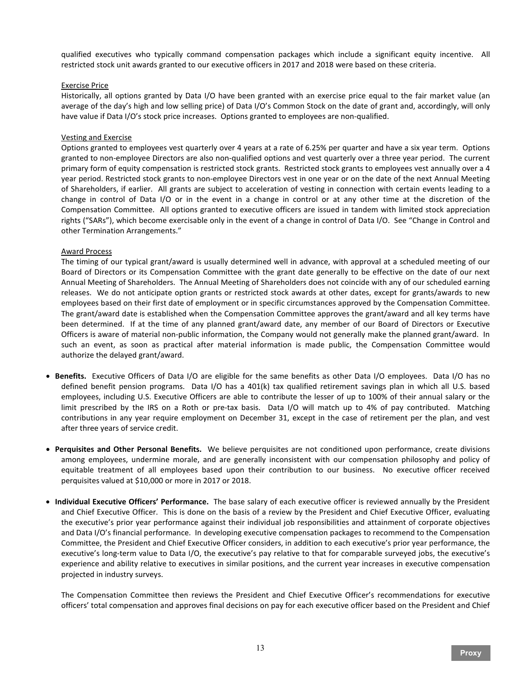qualified executives who typically command compensation packages which include a significant equity incentive. All restricted stock unit awards granted to our executive officers in 2017 and 2018 were based on these criteria.

#### Exercise Price

Historically, all options granted by Data I/O have been granted with an exercise price equal to the fair market value (an average of the day's high and low selling price) of Data I/O's Common Stock on the date of grant and, accordingly, will only have value if Data I/O's stock price increases. Options granted to employees are non-qualified.

# Vesting and Exercise

Options granted to employees vest quarterly over 4 years at a rate of 6.25% per quarter and have a six year term. Options granted to non-employee Directors are also non-qualified options and vest quarterly over a three year period. The current primary form of equity compensation is restricted stock grants. Restricted stock grants to employees vest annually over a 4 year period. Restricted stock grants to non-employee Directors vest in one year or on the date of the next Annual Meeting of Shareholders, if earlier. All grants are subject to acceleration of vesting in connection with certain events leading to a change in control of Data I/O or in the event in a change in control or at any other time at the discretion of the Compensation Committee. All options granted to executive officers are issued in tandem with limited stock appreciation rights ("SARs"), which become exercisable only in the event of a change in control of Data I/O. See "Change in Control and other Termination Arrangements."

# Award Process

The timing of our typical grant/award is usually determined well in advance, with approval at a scheduled meeting of our Board of Directors or its Compensation Committee with the grant date generally to be effective on the date of our next Annual Meeting of Shareholders. The Annual Meeting of Shareholders does not coincide with any of our scheduled earning releases. We do not anticipate option grants or restricted stock awards at other dates, except for grants/awards to new employees based on their first date of employment or in specific circumstances approved by the Compensation Committee. The grant/award date is established when the Compensation Committee approves the grant/award and all key terms have been determined. If at the time of any planned grant/award date, any member of our Board of Directors or Executive Officers is aware of material non-public information, the Company would not generally make the planned grant/award. In such an event, as soon as practical after material information is made public, the Compensation Committee would authorize the delayed grant/award.

- **Benefits.** Executive Officers of Data I/O are eligible for the same benefits as other Data I/O employees. Data I/O has no defined benefit pension programs. Data I/O has a 401(k) tax qualified retirement savings plan in which all U.S. based employees, including U.S. Executive Officers are able to contribute the lesser of up to 100% of their annual salary or the limit prescribed by the IRS on a Roth or pre-tax basis. Data I/O will match up to 4% of pay contributed. Matching contributions in any year require employment on December 31, except in the case of retirement per the plan, and vest after three years of service credit.
- **Perquisites and Other Personal Benefits.** We believe perquisites are not conditioned upon performance, create divisions among employees, undermine morale, and are generally inconsistent with our compensation philosophy and policy of equitable treatment of all employees based upon their contribution to our business. No executive officer received perquisites valued at \$10,000 or more in 2017 or 2018.
- **Individual Executive Officers' Performance.** The base salary of each executive officer is reviewed annually by the President and Chief Executive Officer. This is done on the basis of a review by the President and Chief Executive Officer, evaluating the executive's prior year performance against their individual job responsibilities and attainment of corporate objectives and Data I/O's financial performance. In developing executive compensation packages to recommend to the Compensation Committee, the President and Chief Executive Officer considers, in addition to each executive's prior year performance, the executive's long-term value to Data I/O, the executive's pay relative to that for comparable surveyed jobs, the executive's experience and ability relative to executives in similar positions, and the current year increases in executive compensation projected in industry surveys.

The Compensation Committee then reviews the President and Chief Executive Officer's recommendations for executive officers' total compensation and approves final decisions on pay for each executive officer based on the President and Chief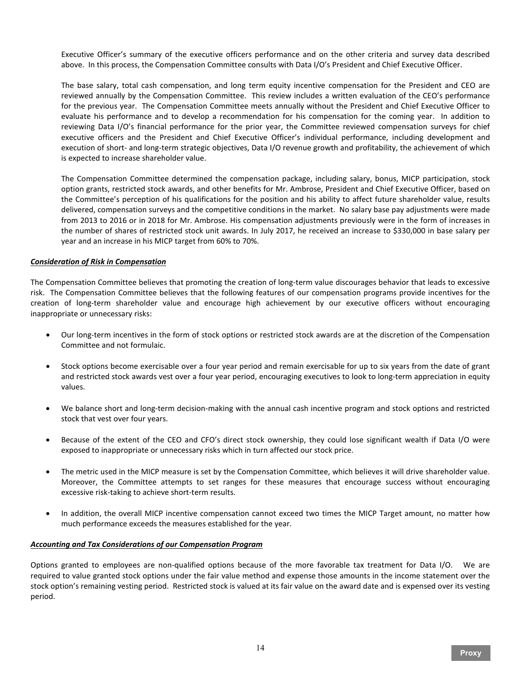Executive Officer's summary of the executive officers performance and on the other criteria and survey data described above. In this process, the Compensation Committee consults with Data I/O's President and Chief Executive Officer.

The base salary, total cash compensation, and long term equity incentive compensation for the President and CEO are reviewed annually by the Compensation Committee. This review includes a written evaluation of the CEO's performance for the previous year. The Compensation Committee meets annually without the President and Chief Executive Officer to evaluate his performance and to develop a recommendation for his compensation for the coming year. In addition to reviewing Data I/O's financial performance for the prior year, the Committee reviewed compensation surveys for chief executive officers and the President and Chief Executive Officer's individual performance, including development and execution of short- and long-term strategic objectives, Data I/O revenue growth and profitability, the achievement of which is expected to increase shareholder value.

The Compensation Committee determined the compensation package, including salary, bonus, MICP participation, stock option grants, restricted stock awards, and other benefits for Mr. Ambrose, President and Chief Executive Officer, based on the Committee's perception of his qualifications for the position and his ability to affect future shareholder value, results delivered, compensation surveys and the competitive conditions in the market. No salary base pay adjustments were made from 2013 to 2016 or in 2018 for Mr. Ambrose. His compensation adjustments previously were in the form of increases in the number of shares of restricted stock unit awards. In July 2017, he received an increase to \$330,000 in base salary per year and an increase in his MICP target from 60% to 70%.

# *Consideration of Risk in Compensation*

The Compensation Committee believes that promoting the creation of long-term value discourages behavior that leads to excessive risk. The Compensation Committee believes that the following features of our compensation programs provide incentives for the creation of long-term shareholder value and encourage high achievement by our executive officers without encouraging inappropriate or unnecessary risks:

- Our long-term incentives in the form of stock options or restricted stock awards are at the discretion of the Compensation Committee and not formulaic.
- Stock options become exercisable over a four year period and remain exercisable for up to six years from the date of grant and restricted stock awards vest over a four year period, encouraging executives to look to long-term appreciation in equity values.
- We balance short and long-term decision-making with the annual cash incentive program and stock options and restricted stock that vest over four years.
- Because of the extent of the CEO and CFO's direct stock ownership, they could lose significant wealth if Data I/O were exposed to inappropriate or unnecessary risks which in turn affected our stock price.
- The metric used in the MICP measure is set by the Compensation Committee, which believes it will drive shareholder value. Moreover, the Committee attempts to set ranges for these measures that encourage success without encouraging excessive risk-taking to achieve short-term results.
- In addition, the overall MICP incentive compensation cannot exceed two times the MICP Target amount, no matter how much performance exceeds the measures established for the year.

# *Accounting and Tax Considerations of our Compensation Program*

Options granted to employees are non-qualified options because of the more favorable tax treatment for Data I/O. We are required to value granted stock options under the fair value method and expense those amounts in the income statement over the stock option's remaining vesting period. Restricted stock is valued at its fair value on the award date and is expensed over its vesting period.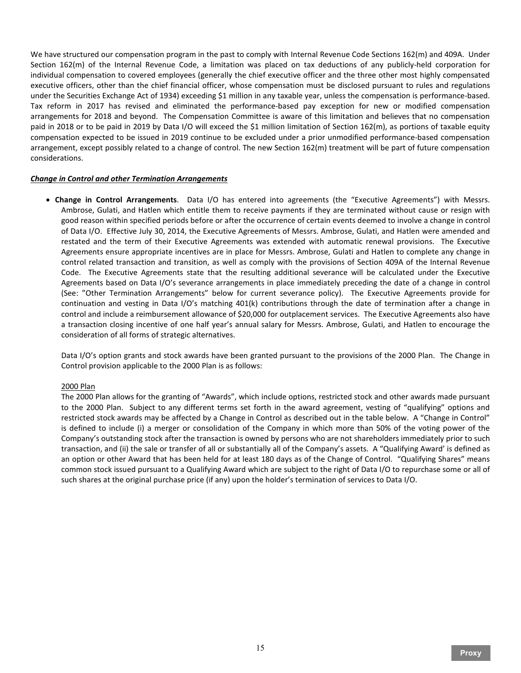We have structured our compensation program in the past to comply with Internal Revenue Code Sections 162(m) and 409A. Under Section 162(m) of the Internal Revenue Code, a limitation was placed on tax deductions of any publicly-held corporation for individual compensation to covered employees (generally the chief executive officer and the three other most highly compensated executive officers, other than the chief financial officer, whose compensation must be disclosed pursuant to rules and regulations under the Securities Exchange Act of 1934) exceeding \$1 million in any taxable year, unless the compensation is performance-based. Tax reform in 2017 has revised and eliminated the performance-based pay exception for new or modified compensation arrangements for 2018 and beyond. The Compensation Committee is aware of this limitation and believes that no compensation paid in 2018 or to be paid in 2019 by Data I/O will exceed the \$1 million limitation of Section 162(m), as portions of taxable equity compensation expected to be issued in 2019 continue to be excluded under a prior unmodified performance-based compensation arrangement, except possibly related to a change of control. The new Section 162(m) treatment will be part of future compensation considerations.

#### *Change in Control and other Termination Arrangements*

• **Change in Control Arrangements**. Data I/O has entered into agreements (the "Executive Agreements") with Messrs. Ambrose, Gulati, and Hatlen which entitle them to receive payments if they are terminated without cause or resign with good reason within specified periods before or after the occurrence of certain events deemed to involve a change in control of Data I/O. Effective July 30, 2014, the Executive Agreements of Messrs. Ambrose, Gulati, and Hatlen were amended and restated and the term of their Executive Agreements was extended with automatic renewal provisions. The Executive Agreements ensure appropriate incentives are in place for Messrs. Ambrose, Gulati and Hatlen to complete any change in control related transaction and transition, as well as comply with the provisions of Section 409A of the Internal Revenue Code. The Executive Agreements state that the resulting additional severance will be calculated under the Executive Agreements based on Data I/O's severance arrangements in place immediately preceding the date of a change in control (See: "Other Termination Arrangements" below for current severance policy). The Executive Agreements provide for continuation and vesting in Data I/O's matching 401(k) contributions through the date of termination after a change in control and include a reimbursement allowance of \$20,000 for outplacement services. The Executive Agreements also have a transaction closing incentive of one half year's annual salary for Messrs. Ambrose, Gulati, and Hatlen to encourage the consideration of all forms of strategic alternatives.

Data I/O's option grants and stock awards have been granted pursuant to the provisions of the 2000 Plan. The Change in Control provision applicable to the 2000 Plan is as follows:

#### 2000 Plan

The 2000 Plan allows for the granting of "Awards", which include options, restricted stock and other awards made pursuant to the 2000 Plan. Subject to any different terms set forth in the award agreement, vesting of "qualifying" options and restricted stock awards may be affected by a Change in Control as described out in the table below. A "Change in Control" is defined to include (i) a merger or consolidation of the Company in which more than 50% of the voting power of the Company's outstanding stock after the transaction is owned by persons who are not shareholders immediately prior to such transaction, and (ii) the sale or transfer of all or substantially all of the Company's assets. A "Qualifying Award' is defined as an option or other Award that has been held for at least 180 days as of the Change of Control. "Qualifying Shares" means common stock issued pursuant to a Qualifying Award which are subject to the right of Data I/O to repurchase some or all of such shares at the original purchase price (if any) upon the holder's termination of services to Data I/O.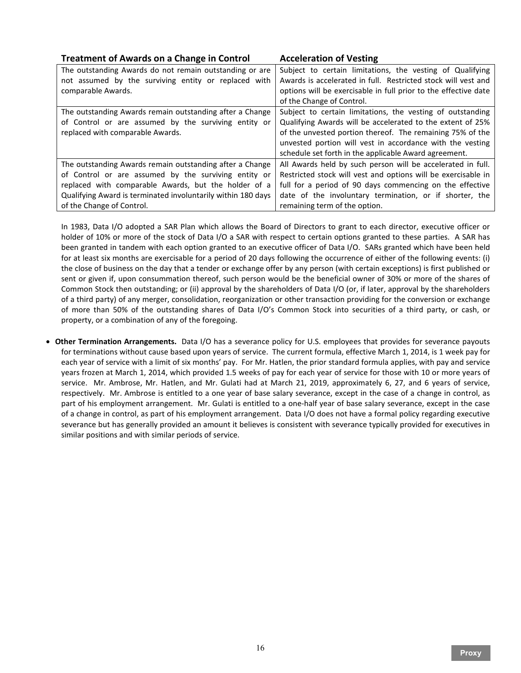# **Treatment of Awards on a Change in Control Acceleration of Vesting**

The outstanding Awards do not remain outstanding or are not assumed by the surviving entity or replaced with comparable Awards. Subject to certain limitations, the vesting of Qualifying Awards is accelerated in full. Restricted stock will vest and options will be exercisable in full prior to the effective date of the Change of Control. The outstanding Awards remain outstanding after a Change of Control or are assumed by the surviving entity or replaced with comparable Awards. Subject to certain limitations, the vesting of outstanding Qualifying Awards will be accelerated to the extent of 25% of the unvested portion thereof. The remaining 75% of the unvested portion will vest in accordance with the vesting schedule set forth in the applicable Award agreement. The outstanding Awards remain outstanding after a Change of Control or are assumed by the surviving entity or replaced with comparable Awards, but the holder of a Qualifying Award is terminated involuntarily within 180 days of the Change of Control. All Awards held by such person will be accelerated in full. Restricted stock will vest and options will be exercisable in full for a period of 90 days commencing on the effective date of the involuntary termination, or if shorter, the remaining term of the option.

In 1983, Data I/O adopted a SAR Plan which allows the Board of Directors to grant to each director, executive officer or holder of 10% or more of the stock of Data I/O a SAR with respect to certain options granted to these parties. A SAR has been granted in tandem with each option granted to an executive officer of Data I/O. SARs granted which have been held for at least six months are exercisable for a period of 20 days following the occurrence of either of the following events: (i) the close of business on the day that a tender or exchange offer by any person (with certain exceptions) is first published or sent or given if, upon consummation thereof, such person would be the beneficial owner of 30% or more of the shares of Common Stock then outstanding; or (ii) approval by the shareholders of Data I/O (or, if later, approval by the shareholders of a third party) of any merger, consolidation, reorganization or other transaction providing for the conversion or exchange of more than 50% of the outstanding shares of Data I/O's Common Stock into securities of a third party, or cash, or property, or a combination of any of the foregoing.

• **Other Termination Arrangements.** Data I/O has a severance policy for U.S. employees that provides for severance payouts for terminations without cause based upon years of service. The current formula, effective March 1, 2014, is 1 week pay for each year of service with a limit of six months' pay. For Mr. Hatlen, the prior standard formula applies, with pay and service years frozen at March 1, 2014, which provided 1.5 weeks of pay for each year of service for those with 10 or more years of service. Mr. Ambrose, Mr. Hatlen, and Mr. Gulati had at March 21, 2019, approximately 6, 27, and 6 years of service, respectively. Mr. Ambrose is entitled to a one year of base salary severance, except in the case of a change in control, as part of his employment arrangement. Mr. Gulati is entitled to a one-half year of base salary severance, except in the case of a change in control, as part of his employment arrangement. Data I/O does not have a formal policy regarding executive severance but has generally provided an amount it believes is consistent with severance typically provided for executives in similar positions and with similar periods of service.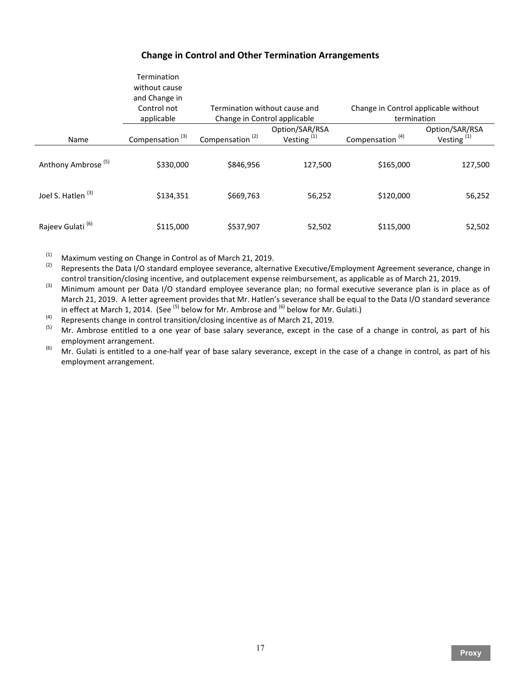# **Change in Control and Other Termination Arrangements**

|                                | Termination<br>without cause<br>and Change in<br>Control not<br>applicable | Termination without cause and<br>Change in Control applicable |                                 | Change in Control applicable without<br>termination |                                 |
|--------------------------------|----------------------------------------------------------------------------|---------------------------------------------------------------|---------------------------------|-----------------------------------------------------|---------------------------------|
| Name                           | Compensation <sup>(3)</sup>                                                | Compensation <sup>(2)</sup>                                   | Option/SAR/RSA<br>Vesting $(1)$ | Compensation <sup>(4)</sup>                         | Option/SAR/RSA<br>Vesting $(1)$ |
| Anthony Ambrose <sup>(5)</sup> | \$330,000                                                                  | \$846,956                                                     | 127,500                         | \$165,000                                           | 127,500                         |
| Joel S. Hatlen <sup>(3)</sup>  | \$134,351                                                                  | \$669,763                                                     | 56,252                          | \$120,000                                           | 56,252                          |
| Rajeev Gulati <sup>(6)</sup>   | \$115,000                                                                  | \$537,907                                                     | 52,502                          | \$115,000                                           | 52,502                          |

(1) Maximum vesting on Change in Control as of March 21, 2019.<br>(2) Represents the Data I/O standard employee severance, alternative Executive/Employment Agreement severance, change in

control transition/closing incentive, and outplacement expense reimbursement, as applicable as of March 21, 2019.<br>Minimum amount per Data I/O standard employee severance plan; no formal executive severance plan is in place March 21, 2019. A letter agreement provides that Mr. Hatlen's severance shall be equal to the Data I/O standard severance in effect at March 1, 2014. (See <sup>(5)</sup> below for Mr. Ambrose and <sup>(6)</sup> below for Mr. Gulati.)

(4) Represents change in control transition/closing incentive as of March 21, 2019.<br>(5) Mr. Ambrose entitled to a one year of base salary severance, except in the case of a change in control, as part of his employment arrangement.

<sup>(6)</sup> Mr. Gulati is entitled to a one-half year of base salary severance, except in the case of a change in control, as part of his employment arrangement.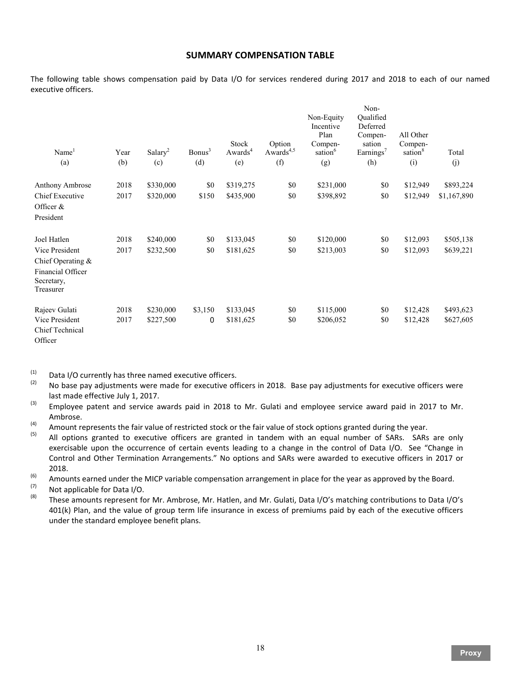# **SUMMARY COMPENSATION TABLE**

The following table shows compensation paid by Data I/O for services rendered during 2017 and 2018 to each of our named executive officers.

| Name <sup>1</sup><br>(a)                                          | Year<br>(b) | Salary <sup>2</sup><br>(c) | Bonus <sup>3</sup><br>(d) | Stock<br>Awards <sup>4</sup><br>(e) | Option<br>Awards <sup>4,5</sup><br>(f) | Non-Equity<br>Incentive<br>Plan<br>Compen-<br>sation <sup>6</sup><br>(g) | Non-<br>Oualified<br>Deferred<br>Compen-<br>sation<br>Earnings <sup>7</sup><br>(h) | All Other<br>Compen-<br>sation <sup>8</sup><br>(i) | Total<br>(j) |
|-------------------------------------------------------------------|-------------|----------------------------|---------------------------|-------------------------------------|----------------------------------------|--------------------------------------------------------------------------|------------------------------------------------------------------------------------|----------------------------------------------------|--------------|
| Anthony Ambrose                                                   | 2018        | \$330,000                  | \$0                       | \$319,275                           | \$0                                    | \$231,000                                                                | \$0                                                                                | \$12,949                                           | \$893,224    |
| Chief Executive                                                   | 2017        | \$320,000                  | \$150                     | \$435,900                           | \$0                                    | \$398,892                                                                | \$0                                                                                | \$12,949                                           | \$1,167,890  |
| Officer $&$<br>President                                          |             |                            |                           |                                     |                                        |                                                                          |                                                                                    |                                                    |              |
| Joel Hatlen                                                       | 2018        | \$240,000                  | \$0                       | \$133,045                           | \$0                                    | \$120,000                                                                | \$0                                                                                | \$12,093                                           | \$505,138    |
| Vice President                                                    | 2017        | \$232,500                  | \$0                       | \$181,625                           | \$0                                    | \$213,003                                                                | \$0                                                                                | \$12,093                                           | \$639,221    |
| Chief Operating &<br>Financial Officer<br>Secretary,<br>Treasurer |             |                            |                           |                                     |                                        |                                                                          |                                                                                    |                                                    |              |
| Rajeev Gulati                                                     | 2018        | \$230,000                  | \$3,150                   | \$133,045                           | \$0                                    | \$115,000                                                                | \$0                                                                                | \$12,428                                           | \$493,623    |
| Vice President<br>Chief Technical<br>Officer                      | 2017        | \$227,500                  | 0                         | \$181,625                           | \$0                                    | \$206,052                                                                | \$0                                                                                | \$12,428                                           | \$627,605    |

(1) Data I/O currently has three named executive officers.<br>(2) Do base nay adjustments were made for executive of

- No base pay adjustments were made for executive officers in 2018. Base pay adjustments for executive officers were
- last made effective July 1, 2017.<br><sup>(3)</sup> Employee patent and service awards paid in 2018 to Mr. Gulati and employee service award paid in 2017 to Mr.
- Ambrose.<br>
(4) Amount represents the fair value of restricted stock or the fair value of stock options granted during the year.<br>
(5) All options granted to ovesutive officers are granted in tandom with an equal number of S
- All options granted to executive officers are granted in tandem with an equal number of SARs. SARs are only exercisable upon the occurrence of certain events leading to a change in the control of Data I/O. See "Change in Control and Other Termination Arrangements." No options and SARs were awarded to executive officers in 2017 or
- 2018.<br>
(6) Amounts earned under the MICP variable compensation arrangement in place for the year as approved by the Board.<br>
(7) Not applicable for Data I/O.<br>
(8) These amounts represent for Mr. Ambrese. Mr. Hatlen, and Mr

These amounts represent for Mr. Ambrose, Mr. Hatlen, and Mr. Gulati, Data I/O's matching contributions to Data I/O's 401(k) Plan, and the value of group term life insurance in excess of premiums paid by each of the executive officers under the standard employee benefit plans.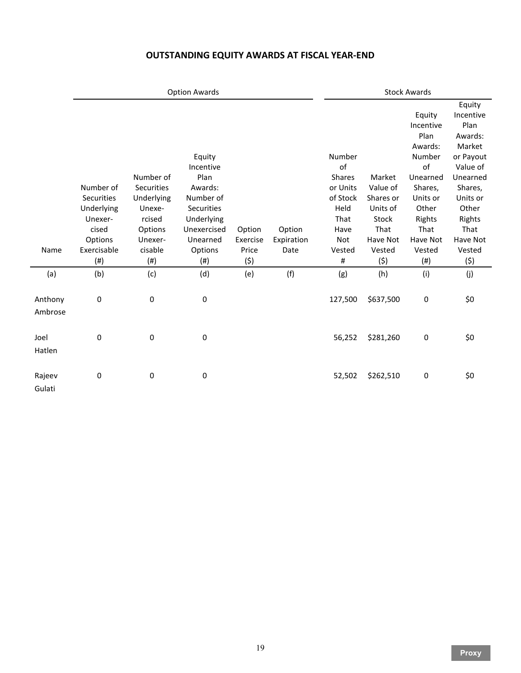# **OUTSTANDING EQUITY AWARDS AT FISCAL YEAR-END**

|                    | <b>Option Awards</b>                                                 |                                                                                 |                                                                                                                   |                    |                      | <b>Stock Awards</b>                                                           |                                                                          |                                                                                                                                  |                                                                                                                                                     |
|--------------------|----------------------------------------------------------------------|---------------------------------------------------------------------------------|-------------------------------------------------------------------------------------------------------------------|--------------------|----------------------|-------------------------------------------------------------------------------|--------------------------------------------------------------------------|----------------------------------------------------------------------------------------------------------------------------------|-----------------------------------------------------------------------------------------------------------------------------------------------------|
|                    | Number of<br>Securities<br>Underlying<br>Unexer-<br>cised<br>Options | Number of<br>Securities<br>Underlying<br>Unexe-<br>rcised<br>Options<br>Unexer- | Equity<br>Incentive<br>Plan<br>Awards:<br>Number of<br><b>Securities</b><br>Underlying<br>Unexercised<br>Unearned | Option<br>Exercise | Option<br>Expiration | Number<br>of<br>Shares<br>or Units<br>of Stock<br>Held<br>That<br>Have<br>Not | Market<br>Value of<br>Shares or<br>Units of<br>Stock<br>That<br>Have Not | Equity<br>Incentive<br>Plan<br>Awards:<br>Number<br>of<br>Unearned<br>Shares,<br>Units or<br>Other<br>Rights<br>That<br>Have Not | Equity<br>Incentive<br>Plan<br>Awards:<br>Market<br>or Payout<br>Value of<br>Unearned<br>Shares,<br>Units or<br>Other<br>Rights<br>That<br>Have Not |
| Name               | Exercisable<br>(# )                                                  | cisable<br>(# )                                                                 | Options<br>$(\#)$                                                                                                 | Price<br>(5)       | Date                 | Vested<br>#                                                                   | Vested<br>(5)                                                            | Vested<br>$(\#)$                                                                                                                 | Vested<br>(\$)                                                                                                                                      |
| (a)                | (b)                                                                  | (c)                                                                             | (d)                                                                                                               | (e)                | (f)                  | (g)                                                                           | (h)                                                                      | (i)                                                                                                                              | (j)                                                                                                                                                 |
| Anthony<br>Ambrose | 0                                                                    | $\pmb{0}$                                                                       | 0                                                                                                                 |                    |                      | 127,500                                                                       | \$637,500                                                                | 0                                                                                                                                | \$0                                                                                                                                                 |
| Joel<br>Hatlen     | $\pmb{0}$                                                            | $\pmb{0}$                                                                       | 0                                                                                                                 |                    |                      | 56,252                                                                        | \$281,260                                                                | 0                                                                                                                                | \$0                                                                                                                                                 |
| Rajeev<br>Gulati   | $\pmb{0}$                                                            | $\pmb{0}$                                                                       | $\pmb{0}$                                                                                                         |                    |                      | 52,502                                                                        | \$262,510                                                                | $\pmb{0}$                                                                                                                        | \$0                                                                                                                                                 |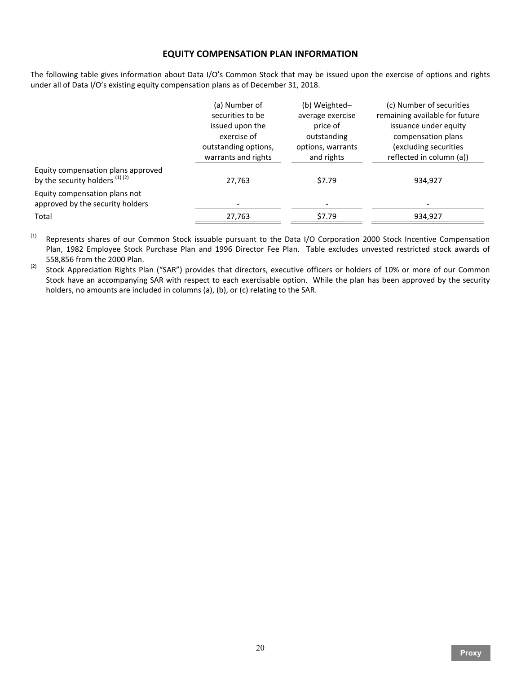# **EQUITY COMPENSATION PLAN INFORMATION**

The following table gives information about Data I/O's Common Stock that may be issued upon the exercise of options and rights under all of Data I/O's existing equity compensation plans as of December 31, 2018.

|                                                                        | (a) Number of<br>securities to be<br>issued upon the<br>exercise of<br>outstanding options,<br>warrants and rights | (b) Weighted-<br>average exercise<br>price of<br>outstanding<br>options, warrants<br>and rights | (c) Number of securities<br>remaining available for future<br>issuance under equity<br>compensation plans<br>(excluding securities<br>reflected in column (a)) |
|------------------------------------------------------------------------|--------------------------------------------------------------------------------------------------------------------|-------------------------------------------------------------------------------------------------|----------------------------------------------------------------------------------------------------------------------------------------------------------------|
| Equity compensation plans approved<br>by the security holders $(1)(2)$ | 27,763                                                                                                             | \$7.79                                                                                          | 934,927                                                                                                                                                        |
| Equity compensation plans not<br>approved by the security holders      |                                                                                                                    | $\overline{\phantom{a}}$                                                                        |                                                                                                                                                                |
| Total                                                                  | 27,763                                                                                                             | \$7.79                                                                                          | 934,927                                                                                                                                                        |

<sup>(1)</sup> Represents shares of our Common Stock issuable pursuant to the Data I/O Corporation 2000 Stock Incentive Compensation Plan, 1982 Employee Stock Purchase Plan and 1996 Director Fee Plan. Table excludes unvested restricted stock awards of 558,856 from the 2000 Plan.

<sup>(2)</sup> Stock Appreciation Rights Plan ("SAR") provides that directors, executive officers or holders of 10% or more of our Common Stock have an accompanying SAR with respect to each exercisable option. While the plan has been approved by the security holders, no amounts are included in columns (a), (b), or (c) relating to the SAR.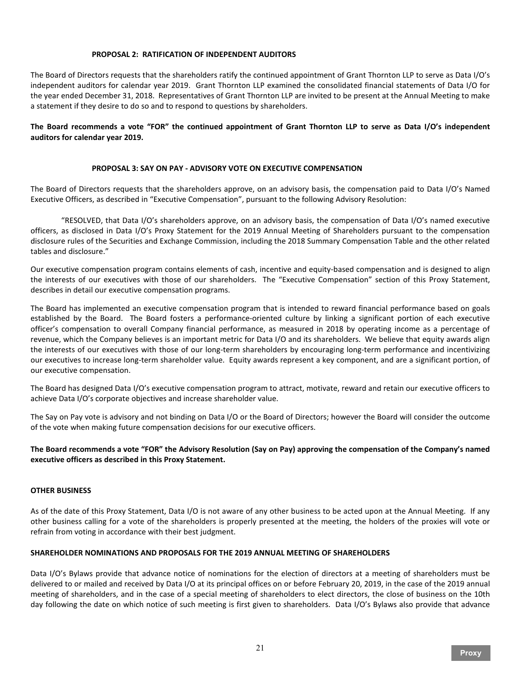# **PROPOSAL 2: RATIFICATION OF INDEPENDENT AUDITORS**

The Board of Directors requests that the shareholders ratify the continued appointment of Grant Thornton LLP to serve as Data I/O's independent auditors for calendar year 2019. Grant Thornton LLP examined the consolidated financial statements of Data I/O for the year ended December 31, 2018. Representatives of Grant Thornton LLP are invited to be present at the Annual Meeting to make a statement if they desire to do so and to respond to questions by shareholders.

**The Board recommends a vote "FOR" the continued appointment of Grant Thornton LLP to serve as Data I/O's independent auditors for calendar year 2019.**

# **PROPOSAL 3: SAY ON PAY - ADVISORY VOTE ON EXECUTIVE COMPENSATION**

The Board of Directors requests that the shareholders approve, on an advisory basis, the compensation paid to Data I/O's Named Executive Officers, as described in "Executive Compensation", pursuant to the following Advisory Resolution:

"RESOLVED, that Data I/O's shareholders approve, on an advisory basis, the compensation of Data I/O's named executive officers, as disclosed in Data I/O's Proxy Statement for the 2019 Annual Meeting of Shareholders pursuant to the compensation disclosure rules of the Securities and Exchange Commission, including the 2018 Summary Compensation Table and the other related tables and disclosure."

Our executive compensation program contains elements of cash, incentive and equity-based compensation and is designed to align the interests of our executives with those of our shareholders. The "Executive Compensation" section of this Proxy Statement, describes in detail our executive compensation programs.

The Board has implemented an executive compensation program that is intended to reward financial performance based on goals established by the Board. The Board fosters a performance-oriented culture by linking a significant portion of each executive officer's compensation to overall Company financial performance, as measured in 2018 by operating income as a percentage of revenue, which the Company believes is an important metric for Data I/O and its shareholders. We believe that equity awards align the interests of our executives with those of our long-term shareholders by encouraging long-term performance and incentivizing our executives to increase long-term shareholder value. Equity awards represent a key component, and are a significant portion, of our executive compensation.

The Board has designed Data I/O's executive compensation program to attract, motivate, reward and retain our executive officers to achieve Data I/O's corporate objectives and increase shareholder value.

The Say on Pay vote is advisory and not binding on Data I/O or the Board of Directors; however the Board will consider the outcome of the vote when making future compensation decisions for our executive officers.

# **The Board recommends a vote "FOR" the Advisory Resolution (Say on Pay) approving the compensation of the Company's named executive officers as described in this Proxy Statement.**

# **OTHER BUSINESS**

As of the date of this Proxy Statement, Data I/O is not aware of any other business to be acted upon at the Annual Meeting. If any other business calling for a vote of the shareholders is properly presented at the meeting, the holders of the proxies will vote or refrain from voting in accordance with their best judgment.

#### **SHAREHOLDER NOMINATIONS AND PROPOSALS FOR THE 2019 ANNUAL MEETING OF SHAREHOLDERS**

Data I/O's Bylaws provide that advance notice of nominations for the election of directors at a meeting of shareholders must be delivered to or mailed and received by Data I/O at its principal offices on or before February 20, 2019, in the case of the 2019 annual meeting of shareholders, and in the case of a special meeting of shareholders to elect directors, the close of business on the 10th day following the date on which notice of such meeting is first given to shareholders. Data I/O's Bylaws also provide that advance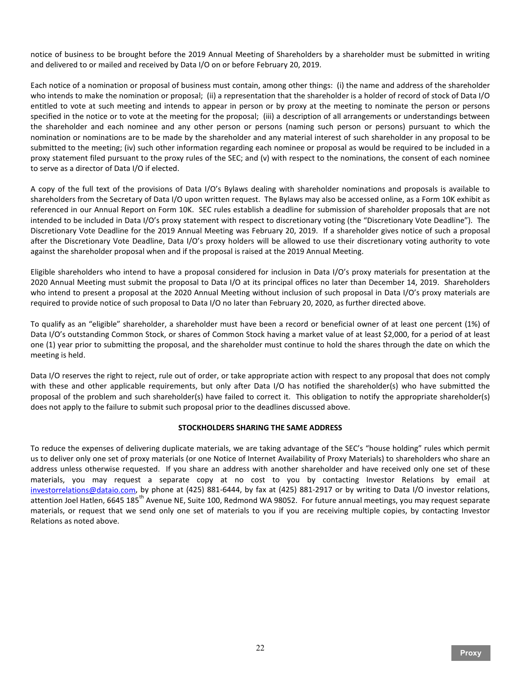notice of business to be brought before the 2019 Annual Meeting of Shareholders by a shareholder must be submitted in writing and delivered to or mailed and received by Data I/O on or before February 20, 2019.

Each notice of a nomination or proposal of business must contain, among other things: (i) the name and address of the shareholder who intends to make the nomination or proposal; (ii) a representation that the shareholder is a holder of record of stock of Data I/O entitled to vote at such meeting and intends to appear in person or by proxy at the meeting to nominate the person or persons specified in the notice or to vote at the meeting for the proposal; (iii) a description of all arrangements or understandings between the shareholder and each nominee and any other person or persons (naming such person or persons) pursuant to which the nomination or nominations are to be made by the shareholder and any material interest of such shareholder in any proposal to be submitted to the meeting; (iv) such other information regarding each nominee or proposal as would be required to be included in a proxy statement filed pursuant to the proxy rules of the SEC; and (v) with respect to the nominations, the consent of each nominee to serve as a director of Data I/O if elected.

A copy of the full text of the provisions of Data I/O's Bylaws dealing with shareholder nominations and proposals is available to shareholders from the Secretary of Data I/O upon written request. The Bylaws may also be accessed online, as a Form 10K exhibit as referenced in our Annual Report on Form 10K. SEC rules establish a deadline for submission of shareholder proposals that are not intended to be included in Data I/O's proxy statement with respect to discretionary voting (the "Discretionary Vote Deadline"). The Discretionary Vote Deadline for the 2019 Annual Meeting was February 20, 2019. If a shareholder gives notice of such a proposal after the Discretionary Vote Deadline, Data I/O's proxy holders will be allowed to use their discretionary voting authority to vote against the shareholder proposal when and if the proposal is raised at the 2019 Annual Meeting.

Eligible shareholders who intend to have a proposal considered for inclusion in Data I/O's proxy materials for presentation at the 2020 Annual Meeting must submit the proposal to Data I/O at its principal offices no later than December 14, 2019. Shareholders who intend to present a proposal at the 2020 Annual Meeting without inclusion of such proposal in Data I/O's proxy materials are required to provide notice of such proposal to Data I/O no later than February 20, 2020, as further directed above.

To qualify as an "eligible" shareholder, a shareholder must have been a record or beneficial owner of at least one percent (1%) of Data I/O's outstanding Common Stock, or shares of Common Stock having a market value of at least \$2,000, for a period of at least one (1) year prior to submitting the proposal, and the shareholder must continue to hold the shares through the date on which the meeting is held.

Data I/O reserves the right to reject, rule out of order, or take appropriate action with respect to any proposal that does not comply with these and other applicable requirements, but only after Data I/O has notified the shareholder(s) who have submitted the proposal of the problem and such shareholder(s) have failed to correct it. This obligation to notify the appropriate shareholder(s) does not apply to the failure to submit such proposal prior to the deadlines discussed above.

# **STOCKHOLDERS SHARING THE SAME ADDRESS**

To reduce the expenses of delivering duplicate materials, we are taking advantage of the SEC's "house holding" rules which permit us to deliver only one set of proxy materials (or one Notice of Internet Availability of Proxy Materials) to shareholders who share an address unless otherwise requested. If you share an address with another shareholder and have received only one set of these materials, you may request a separate copy at no cost to you by contacting Investor Relations by email at [investorrelations@dataio.com,](mailto:investorrelations@dataio.com) by phone at (425) 881-6444, by fax at (425) 881-2917 or by writing to Data I/O investor relations, attention Joel Hatlen, 6645 185<sup>th</sup> Avenue NE, Suite 100, Redmond WA 98052. For future annual meetings, you may request separate materials, or request that we send only one set of materials to you if you are receiving multiple copies, by contacting Investor Relations as noted above.